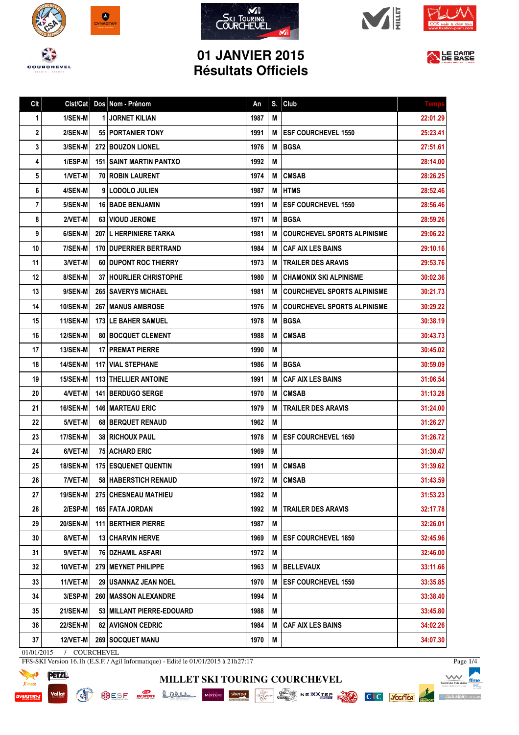









## **01 JANVIER 2015 Résultats Officiels**



| Clt | Clst/Cat        | Dos Nom - Prénom                 | An   | S. | Club                               | Temp:    |
|-----|-----------------|----------------------------------|------|----|------------------------------------|----------|
| 1   | 1/SEN-M         | <b>1 JORNET KILIAN</b>           | 1987 | M  |                                    | 22:01.29 |
| 2   | 2/SEN-M         | 55 PORTANIER TONY                | 1991 | M  | <b>ESF COURCHEVEL 1550</b>         | 25:23.41 |
| 3   | 3/SEN-M         | 272 BOUZON LIONEL                | 1976 | М  | <b>BGSA</b>                        | 27:51.61 |
| 4   | 1/ESP-M         | <b>151   SAINT MARTIN PANTXO</b> | 1992 | M  |                                    | 28:14.00 |
| 5   | 1/VET-M         | 70 ROBIN LAURENT                 | 1974 | M  | <b>CMSAB</b>                       | 28:26.25 |
| 6   | 4/SEN-M         | 9 LODOLO JULIEN                  | 1987 | M  | <b>HTMS</b>                        | 28:52.46 |
| 7   | 5/SEN-M         | <b>16 BADE BENJAMIN</b>          | 1991 | M  | <b>ESF COURCHEVEL 1550</b>         | 28:56.46 |
| 8   | 2/VET-M         | 63 VIOUD JEROME                  | 1971 | M  | <b>BGSA</b>                        | 28:59.26 |
| 9   | 6/SEN-M         | 207   L HERPINIERE TARKA         | 1981 | M  | <b>COURCHEVEL SPORTS ALPINISME</b> | 29:06.22 |
| 10  | 7/SEN-M         | 170 DUPERRIER BERTRAND           | 1984 | M  | <b>CAF AIX LES BAINS</b>           | 29:10.16 |
| 11  | 3/VET-M         | 60 DUPONT ROC THIERRY            | 1973 | м  | <b>TRAILER DES ARAVIS</b>          | 29:53.76 |
| 12  | 8/SEN-M         | <b>37   HOURLIER CHRISTOPHE</b>  | 1980 | M  | <b>CHAMONIX SKI ALPINISME</b>      | 30:02.36 |
| 13  | 9/SEN-M         | <b>265   SAVERYS MICHAEL</b>     | 1981 | M  | <b>COURCHEVEL SPORTS ALPINISME</b> | 30:21.73 |
| 14  | <b>10/SEN-M</b> | <b>267 MANUS AMBROSE</b>         | 1976 | M  | <b>COURCHEVEL SPORTS ALPINISME</b> | 30:29.22 |
| 15  | <b>11/SEN-M</b> | <b>173 LE BAHER SAMUEL</b>       | 1978 | M  | <b>BGSA</b>                        | 30:38.19 |
| 16  | <b>12/SEN-M</b> | <b>80 BOCQUET CLEMENT</b>        | 1988 | M  | <b>CMSAB</b>                       | 30:43.73 |
| 17  | 13/SEN-M        | <b>17 PREMAT PIERRE</b>          | 1990 | M  |                                    | 30:45.02 |
| 18  | <b>14/SEN-M</b> | <b>117   VIAL STEPHANE</b>       | 1986 | M  | <b>BGSA</b>                        | 30:59.09 |
| 19  | <b>15/SEN-M</b> | <b>113 THELLIER ANTOINE</b>      | 1991 | M  | <b>CAF AIX LES BAINS</b>           | 31:06.54 |
| 20  | 4/VET-M         | <b>141 BERDUGO SERGE</b>         | 1970 | M  | <b>CMSAB</b>                       | 31:13.28 |
| 21  | <b>16/SEN-M</b> | <b>146 MARTEAU ERIC</b>          | 1979 | M  | <b>TRAILER DES ARAVIS</b>          | 31:24.00 |
| 22  | 5/VET-M         | 68 BERQUET RENAUD                | 1962 | M  |                                    | 31:26.27 |
| 23  | <b>17/SEN-M</b> | 38 RICHOUX PAUL                  | 1978 | M  | <b>ESF COURCHEVEL 1650</b>         | 31:26.72 |
| 24  | 6/VET-M         | <b>75 ACHARD ERIC</b>            | 1969 | M  |                                    | 31:30.47 |
| 25  | <b>18/SEN-M</b> | 175 ESQUENET QUENTIN             | 1991 | M  | <b>CMSAB</b>                       | 31:39.62 |
| 26  | 7/VET-M         | <b>58 HABERSTICH RENAUD</b>      | 1972 |    | M CMSAB                            | 31:43.59 |
| 27  | <b>19/SEN-M</b> | <b>275   CHESNEAU MATHIEU</b>    | 1982 | M  |                                    | 31:53.23 |
| 28  | 2/ESP-M         | 165   FATA JORDAN                | 1992 | M  | <b>TRAILER DES ARAVIS</b>          | 32:17.78 |
| 29  | <b>20/SEN-M</b> | <b>111 BERTHIER PIERRE</b>       | 1987 | Μ  |                                    | 32:26.01 |
| 30  | 8/VET-M         | <b>13 CHARVIN HERVE</b>          | 1969 | Μ  | <b>ESF COURCHEVEL 1850</b>         | 32:45.96 |
| 31  | 9/VET-M         | 76   DZHAMIL ASFARI              | 1972 | M  |                                    | 32:46.00 |
| 32  | 10/VET-M        | 279   MEYNET PHILIPPE            | 1963 | Μ  | <b>BELLEVAUX</b>                   | 33:11.66 |
| 33  | 11/VET-M        | <b>29 I USANNAZ JEAN NOEL</b>    | 1970 | M  | <b>ESF COURCHEVEL 1550</b>         | 33:35.85 |
| 34  | 3/ESP-M         | <b>260   MASSON ALEXANDRE</b>    | 1994 | Μ  |                                    | 33:38.40 |
| 35  | 21/SEN-M        | 53   MILLANT PIERRE-EDOUARD      | 1988 | Μ  |                                    | 33:45.80 |
| 36  | <b>22/SEN-M</b> | <b>82 AVIGNON CEDRIC</b>         | 1984 | M  | <b>CAF AIX LES BAINS</b>           | 34:02.26 |
| 37  | 12/VET-M        | <b>269   SOCQUET MANU</b>        | 1970 | M  |                                    | 34:07.30 |

**MILLET SKI TOURING COURCHEVEL**

01/01/2015 / COURCHEVEL

EN

FFS-SKI Version 16.1h (E.S.F. / Agil Informatique) - Edité le 01/01/2015 à 21h27:17



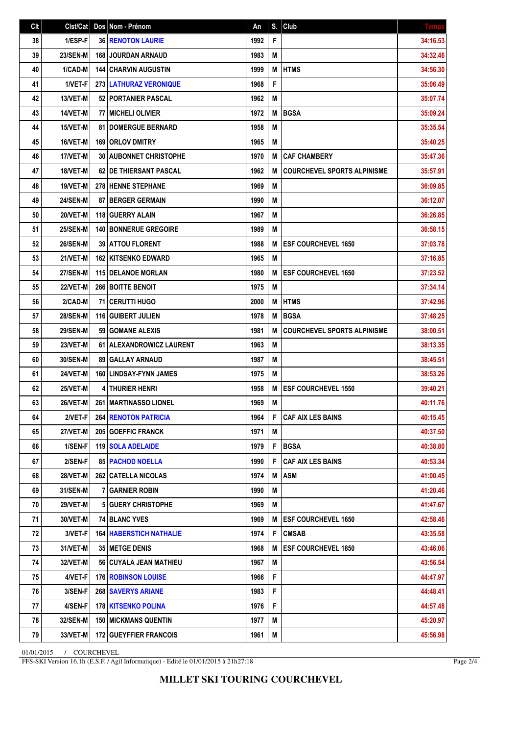| Clt | Clst/Cat        |    | Dos Nom - Prénom               | An   | S. | Club                               | <b>Temps</b> |
|-----|-----------------|----|--------------------------------|------|----|------------------------------------|--------------|
| 38  | 1/ESP-F         |    | <b>36 RENOTON LAURIE</b>       | 1992 | F  |                                    | 34:16.53     |
| 39  | <b>23/SEN-M</b> |    | <b>168 JOURDAN ARNAUD</b>      | 1983 | M  |                                    | 34:32.46     |
| 40  | 1/CAD-M         |    | 144 CHARVIN AUGUSTIN           | 1999 | M  | <b>HTMS</b>                        | 34:56.30     |
| 41  | 1/VET-F         |    | <b>273 LATHURAZ VERONIQUE</b>  | 1968 | F  |                                    | 35:06.49     |
| 42  | 13/VET-M        |    | 52 PORTANIER PASCAL            | 1962 | M  |                                    | 35:07.74     |
| 43  | 14/VET-M        | 77 | <b>MICHELI OLIVIER</b>         | 1972 | M  | <b>BGSA</b>                        | 35:09.24     |
| 44  | 15/VET-M        |    | <b>81 I DOMERGUE BERNARD</b>   | 1958 | M  |                                    | 35:35.54     |
| 45  | 16/VET-M        |    | 169   ORLOV DMITRY             | 1965 | Μ  |                                    | 35:40.25     |
| 46  | 17/VET-M        |    | <b>30 AUBONNET CHRISTOPHE</b>  | 1970 | M  | <b>CAF CHAMBERY</b>                | 35:47.36     |
| 47  | 18/VET-M        |    | <b>62 IDE THIERSANT PASCAL</b> | 1962 | M  | <b>COURCHEVEL SPORTS ALPINISME</b> | 35:57.91     |
| 48  | 19/VET-M        |    | <b>278 HENNE STEPHANE</b>      | 1969 | M  |                                    | 36:09.85     |
| 49  | <b>24/SEN-M</b> |    | <b>87 BERGER GERMAIN</b>       | 1990 | M  |                                    | 36:12.07     |
| 50  | 20/VET-M        |    | <b>118 GUERRY ALAIN</b>        | 1967 | M  |                                    | 36:26.85     |
| 51  | <b>25/SEN-M</b> |    | <b>140 BONNERUE GREGOIRE</b>   | 1989 | M  |                                    | 36:58.15     |
| 52  | <b>26/SEN-M</b> |    | <b>39 ATTOU FLORENT</b>        | 1988 | M  | <b>ESF COURCHEVEL 1650</b>         | 37:03.78     |
| 53  | 21/VET-M        |    | <b>162 KITSENKO EDWARD</b>     | 1965 | M  |                                    | 37:16.85     |
| 54  | <b>27/SEN-M</b> |    | <b>115 DELANOE MORLAN</b>      | 1980 | M  | <b>ESF COURCHEVEL 1650</b>         | 37:23.52     |
| 55  | <b>22/VET-M</b> |    | 266 BOITTE BENOIT              | 1975 | M  |                                    | 37:34.14     |
| 56  | 2/CAD-M         |    | 71 CERUTTI HUGO                | 2000 | Μ  | <b>HTMS</b>                        | 37:42.96     |
| 57  | <b>28/SEN-M</b> |    | <b>116 GUIBERT JULIEN</b>      | 1978 | M  | <b>BGSA</b>                        | 37:48.25     |
| 58  | <b>29/SEN-M</b> |    | <b>59   GOMANE ALEXIS</b>      | 1981 | M  | <b>COURCHEVEL SPORTS ALPINISME</b> | 38:00.51     |
| 59  | 23/VET-M        |    | 61 ALEXANDROWICZ LAURENT       | 1963 | M  |                                    | 38:13.35     |
| 60  | <b>30/SEN-M</b> |    | <b>89 GALLAY ARNAUD</b>        | 1987 | M  |                                    | 38:45.51     |
| 61  | <b>24/VET-M</b> |    | <b>160 LINDSAY-FYNN JAMES</b>  | 1975 | M  |                                    | 38:53.26     |
| 62  | 25/VET-M        |    | <b>4 THURIER HENRI</b>         | 1958 | M  | <b>ESF COURCHEVEL 1550</b>         | 39:40.21     |
| 63  | 26/VET-M        |    | 261   MARTINASSO LIONEL        | 1969 | M  |                                    | 40:11.76     |
| 64  | 2/VET-F         |    | <b>264 RENOTON PATRICIA</b>    | 1964 | F. | <b>CAF AIX LES BAINS</b>           | 40:15.45     |
| 65  | 27/VET-M        |    | 205 GOEFFIC FRANCK             | 1971 | M  |                                    | 40:37.50     |
| 66  | 1/SEN-F         |    | 119 SOLA ADELAIDE              | 1979 | F  | <b>BGSA</b>                        | 40:38.80     |
| 67  | 2/SEN-F         |    | 85   PACHOD NOELLA             | 1990 | F  | <b>CAF AIX LES BAINS</b>           | 40:53.34     |
| 68  | <b>28/VET-M</b> |    | 262 CATELLA NICOLAS            | 1974 | M  | <b>ASM</b>                         | 41:00.45     |
| 69  | 31/SEN-M        | 7  | l GARNIER ROBIN                | 1990 | M  |                                    | 41:20.46     |
| 70  | 29/VET-M        |    | <b>5 GUERY CHRISTOPHE</b>      | 1969 | M  |                                    | 41:47.67     |
| 71  | 30/VET-M        |    | <b>74 BLANC YVES</b>           | 1969 | M  | <b>ESF COURCHEVEL 1650</b>         | 42:58.46     |
| 72  | 3/VET-F         |    | <b>164 HABERSTICH NATHALIE</b> | 1974 | F  | <b>CMSAB</b>                       | 43:35.58     |
| 73  | 31/VET-M        |    | <b>35   METGE DENIS</b>        | 1968 | M  | <b>ESF COURCHEVEL 1850</b>         | 43:46.06     |
| 74  | <b>32/VET-M</b> |    | 56   CUYALA JEAN MATHIEU       | 1967 | M  |                                    | 43:56.54     |
| 75  | 4/VET-F         |    | <b>176 ROBINSON LOUISE</b>     | 1966 | F  |                                    | 44:47.97     |
| 76  | 3/SEN-F         |    | <b>268   SAVERYS ARIANE</b>    | 1983 | F  |                                    | 44:48.41     |
| 77  | 4/SEN-F         |    | <b>178 KITSENKO POLINA</b>     | 1976 | F  |                                    | 44:57.48     |
| 78  | 32/SEN-M        |    | <b>150   MICKMANS QUENTIN</b>  | 1977 | Μ  |                                    | 45:20.97     |
| 79  | 33/VET-M        |    | 172 GUEYFFIER FRANCOIS         | 1961 | M  |                                    | 45:56.98     |

01/01/2015 / COURCHEVEL

FFS-SKI Version 16.1h (E.S.F. / Agil Informatique) - Edité le 01/01/2015 à 21h27:18

Page 2/4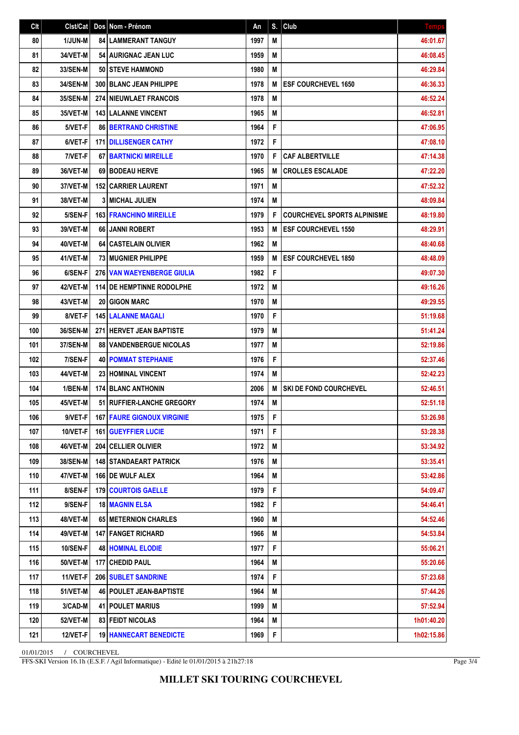| Clt | Clst/Cat        | Dos Nom - Prénom                  | An   | S. | Club                               | Temp:      |
|-----|-----------------|-----------------------------------|------|----|------------------------------------|------------|
| 80  | 1/JUN-M         | <b>84 LAMMERANT TANGUY</b>        | 1997 | M  |                                    | 46:01.67   |
| 81  | 34/VET-M        | 54 AURIGNAC JEAN LUC              | 1959 | M  |                                    | 46:08.45   |
| 82  | 33/SEN-M        | <b>50 STEVE HAMMOND</b>           | 1980 | M  |                                    | 46:29.84   |
| 83  | 34/SEN-M        | 300 BLANC JEAN PHILIPPE           | 1978 | M  | <b>ESF COURCHEVEL 1650</b>         | 46:36.33   |
| 84  | <b>35/SEN-M</b> | <b>274 NIEUWLAET FRANCOIS</b>     | 1978 | M  |                                    | 46:52.24   |
| 85  | 35/VET-M        | <b>143   LALANNE VINCENT</b>      | 1965 | M  |                                    | 46:52.81   |
| 86  | 5/VET-F         | <b>86 BERTRAND CHRISTINE</b>      | 1964 | F  |                                    | 47:06.95   |
| 87  | 6/VET-F         | <b>171   DILLISENGER CATHY</b>    | 1972 | F  |                                    | 47:08.10   |
| 88  | 7/VET-F         | <b>67 BARTNICKI MIREILLE</b>      | 1970 | F  | <b>CAF ALBERTVILLE</b>             | 47:14.38   |
| 89  | 36/VET-M        | 69 BODEAU HERVE                   | 1965 | M  | <b>CROLLES ESCALADE</b>            | 47:22.20   |
| 90  | 37/VET-M        | <b>152 CARRIER LAURENT</b>        | 1971 | M  |                                    | 47:52.32   |
| 91  | 38/VET-M        | <b>3 MICHAL JULIEN</b>            | 1974 | M  |                                    | 48:09.84   |
| 92  | 5/SEN-F         | <b>163 FRANCHINO MIREILLE</b>     | 1979 | F  | <b>COURCHEVEL SPORTS ALPINISME</b> | 48:19.80   |
| 93  | <b>39/VET-M</b> | <b>66 JANNI ROBERT</b>            | 1953 | M  | <b>ESF COURCHEVEL 1550</b>         | 48:29.91   |
| 94  | 40/VET-M        | <b>64 CASTELAIN OLIVIER</b>       | 1962 | M  |                                    | 48:40.68   |
| 95  | 41/VET-M        | <b>73 MUGNIER PHILIPPE</b>        | 1959 | M  | <b>ESF COURCHEVEL 1850</b>         | 48:48.09   |
| 96  | 6/SEN-F         | 276 VAN WAEYENBERGE GIULIA        | 1982 | F  |                                    | 49:07.30   |
| 97  | 42/VET-M        | 114 DE HEMPTINNE RODOLPHE         | 1972 | M  |                                    | 49:16.26   |
| 98  | 43/VET-M        | <b>20 GIGON MARC</b>              | 1970 | M  |                                    | 49:29.55   |
| 99  | 8/VET-F         | <b>145 LALANNE MAGALI</b>         | 1970 | F  |                                    | 51:19.68   |
| 100 | 36/SEN-M        | 271 HERVET JEAN BAPTISTE          | 1979 | M  |                                    | 51:41.24   |
| 101 | 37/SEN-M        | <b>88 VANDENBERGUE NICOLAS</b>    | 1977 | M  |                                    | 52:19.86   |
| 102 | 7/SEN-F         | <b>40   POMMAT STEPHANIE</b>      | 1976 | F  |                                    | 52:37.46   |
| 103 | 44/VET-M        | 23 HOMINAL VINCENT                | 1974 | M  |                                    | 52:42.23   |
| 104 | 1/BEN-M         | <b>174 BLANC ANTHONIN</b>         | 2006 | M  | <b>SKI DE FOND COURCHEVEL</b>      | 52:46.51   |
| 105 | 45/VET-M        | 51 RUFFIER-LANCHE GREGORY         | 1974 | M  |                                    | 52:51.18   |
| 106 | 9/VET-F         | <b>167 FAURE GIGNOUX VIRGINIE</b> | 1975 | F  |                                    | 53:26.98   |
| 107 | 10/VET-F        | <b>161   GUEYFFIER LUCIE</b>      | 1971 | F  |                                    | 53:28.38   |
| 108 | 46/VET-M        | 204   CELLIER OLIVIER             | 1972 | M  |                                    | 53:34.92   |
| 109 | 38/SEN-M        | <b>148 STANDAEART PATRICK</b>     | 1976 | M  |                                    | 53:35.41   |
| 110 | 47/VET-M        | 166 DE WULF ALEX                  | 1964 | M  |                                    | 53:42.86   |
| 111 | 8/SEN-F         | <b>179 COURTOIS GAELLE</b>        | 1979 | F  |                                    | 54:09.47   |
| 112 | 9/SEN-F         | <b>18 MAGNIN ELSA</b>             | 1982 | F  |                                    | 54:46.41   |
| 113 | 48/VET-M        | <b>65   METERNION CHARLES</b>     | 1960 | M  |                                    | 54:52.46   |
| 114 | 49/VET-M        | <b>147 FANGET RICHARD</b>         | 1966 | M  |                                    | 54:53.84   |
| 115 | <b>10/SEN-F</b> | <b>48   HOMINAL ELODIE</b>        | 1977 | F  |                                    | 55:06.21   |
| 116 | <b>50/VET-M</b> | 177 CHEDID PAUL                   | 1964 | M  |                                    | 55:20.66   |
| 117 | 11/VET-F        | <b>206 SUBLET SANDRINE</b>        | 1974 | F  |                                    | 57:23.68   |
| 118 | 51/VET-M        | 46 POULET JEAN-BAPTISTE           | 1964 | M  |                                    | 57:44.26   |
| 119 | 3/CAD-M         | <b>41   POULET MARIUS</b>         | 1999 | M  |                                    | 57:52.94   |
| 120 | <b>52/VET-M</b> | 83 FEIDT NICOLAS                  | 1964 | M  |                                    | 1h01:40.20 |
| 121 | 12/VET-F        | <b>19 HANNECART BENEDICTE</b>     | 1969 | F  |                                    | 1h02:15.86 |

01/01/2015 / COURCHEVEL

FFS-SKI Version 16.1h (E.S.F. / Agil Informatique) - Edité le 01/01/2015 à 21h27:18

Page 3/4